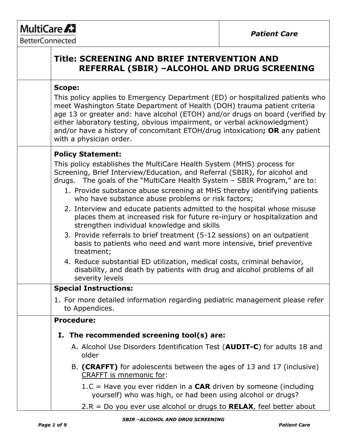# MultiCare A<sub>1</sub>

BetterConnected

| Title: SCREENING AND BRIEF INTERVENTION AND<br>REFERRAL (SBIR) -ALCOHOL AND DRUG SCREENING                                                                                                                                                                                                                                                                                                                                                                                                                                                                                                                                                                                                                                                                                                                                                                                                                                                      |
|-------------------------------------------------------------------------------------------------------------------------------------------------------------------------------------------------------------------------------------------------------------------------------------------------------------------------------------------------------------------------------------------------------------------------------------------------------------------------------------------------------------------------------------------------------------------------------------------------------------------------------------------------------------------------------------------------------------------------------------------------------------------------------------------------------------------------------------------------------------------------------------------------------------------------------------------------|
| <b>Scope:</b><br>This policy applies to Emergency Department (ED) or hospitalized patients who<br>meet Washington State Department of Health (DOH) trauma patient criteria<br>age 13 or greater and: have alcohol (ETOH) and/or drugs on board (verified by<br>either laboratory testing, obvious impairment, or verbal acknowledgment)<br>and/or have a history of concomitant ETOH/drug intoxication; OR any patient<br>with a physician order.                                                                                                                                                                                                                                                                                                                                                                                                                                                                                               |
| <b>Policy Statement:</b><br>This policy establishes the MultiCare Health System (MHS) process for<br>Screening, Brief Interview/Education, and Referral (SBIR), for alcohol and<br>drugs. The goals of the "MultiCare Health System - SBIR Program," are to:<br>1. Provide substance abuse screening at MHS thereby identifying patients<br>who have substance abuse problems or risk factors;<br>2. Interview and educate patients admitted to the hospital whose misuse<br>places them at increased risk for future re-injury or hospitalization and<br>strengthen individual knowledge and skills<br>3. Provide referrals to brief treatment (5-12 sessions) on an outpatient<br>basis to patients who need and want more intensive, brief preventive<br>treatment;<br>4. Reduce substantial ED utilization, medical costs, criminal behavior,<br>disability, and death by patients with drug and alcohol problems of all<br>severity levels |
| <b>Special Instructions:</b><br>1. For more detailed information regarding pediatric management please refer<br>to Appendices.                                                                                                                                                                                                                                                                                                                                                                                                                                                                                                                                                                                                                                                                                                                                                                                                                  |
| <b>Procedure:</b><br>I. The recommended screening tool(s) are:<br>A. Alcohol Use Disorders Identification Test (AUDIT-C) for adults 18 and<br>older<br>B. (CRAFFT) for adolescents between the ages of 13 and 17 (inclusive)<br><b>CRAFFT</b> is mnemonic for:                                                                                                                                                                                                                                                                                                                                                                                                                                                                                                                                                                                                                                                                                  |
| 1.C = Have you ever ridden in a <b>CAR</b> driven by someone (including<br>yourself) who was high, or had been using alcohol or drugs?<br>2.R = Do you ever use alcohol or drugs to $RELAX$ , feel better about                                                                                                                                                                                                                                                                                                                                                                                                                                                                                                                                                                                                                                                                                                                                 |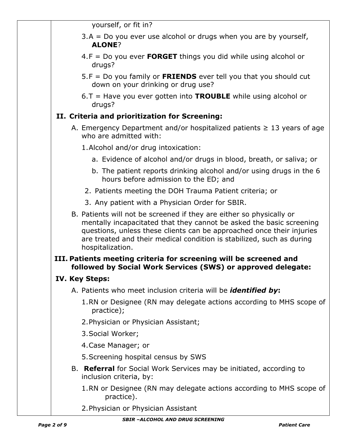yourself, or fit in?

- $3.A = Do$  you ever use alcohol or drugs when you are by yourself, **ALONE**?
- 4.F = Do you ever **FORGET** things you did while using alcohol or drugs?
- 5.F = Do you family or **FRIENDS** ever tell you that you should cut down on your drinking or drug use?
- 6.T = Have you ever gotten into **TROUBLE** while using alcohol or drugs?

# **II. Criteria and prioritization for Screening:**

- A. Emergency Department and/or hospitalized patients  $\geq 13$  years of age who are admitted with:
	- 1.Alcohol and/or drug intoxication:
		- a. Evidence of alcohol and/or drugs in blood, breath, or saliva; or
		- b. The patient reports drinking alcohol and/or using drugs in the 6 hours before admission to the ED; and
	- 2. Patients meeting the DOH Trauma Patient criteria; or
	- 3. Any patient with a Physician Order for SBIR.
- B. Patients will not be screened if they are either so physically or mentally incapacitated that they cannot be asked the basic screening questions, unless these clients can be approached once their injuries are treated and their medical condition is stabilized, such as during hospitalization.

### **III. Patients meeting criteria for screening will be screened and followed by Social Work Services (SWS) or approved delegate:**

## **IV. Key Steps:**

- A. Patients who meet inclusion criteria will be *identified by***:**
	- 1.RN or Designee (RN may delegate actions according to MHS scope of practice);
	- 2.Physician or Physician Assistant;
	- 3.Social Worker;
	- 4.Case Manager; or
	- 5.Screening hospital census by SWS
- B. **Referral** for Social Work Services may be initiated, according to inclusion criteria, by:
	- 1.RN or Designee (RN may delegate actions according to MHS scope of practice).
	- 2.Physician or Physician Assistant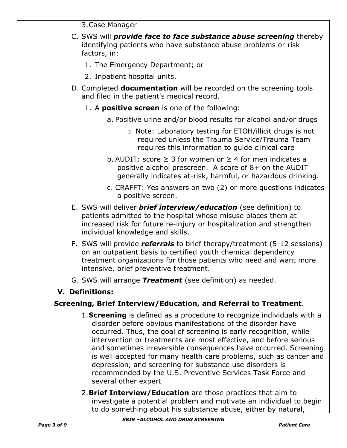3.Case Manager

- C. SWS will *provide face to face substance abuse screening* thereby identifying patients who have substance abuse problems or risk factors, in:
	- 1. The Emergency Department; or
	- 2. Inpatient hospital units.
- D. Completed **documentation** will be recorded on the screening tools and filed in the patient's medical record.
	- 1. A **positive screen** is one of the following:
		- a. Positive urine and/or blood results for alcohol and/or drugs
			- o Note: Laboratory testing for ETOH/illicit drugs is not required unless the Trauma Service/Trauma Team requires this information to guide clinical care
		- b. AUDIT: score  $\geq 3$  for women or  $\geq 4$  for men indicates a positive alcohol prescreen. A score of 8+ on the AUDIT generally indicates at-risk, harmful, or hazardous drinking.
		- c. CRAFFT: Yes answers on two (2) or more questions indicates a positive screen.
- E. SWS will deliver *brief interview/education* (see definition) to patients admitted to the hospital whose misuse places them at increased risk for future re-injury or hospitalization and strengthen individual knowledge and skills.
- F. SWS will provide *referrals* to brief therapy/treatment (5-12 sessions) on an outpatient basis to certified youth chemical dependency treatment organizations for those patients who need and want more intensive, brief preventive treatment.
- G. SWS will arrange *Treatment* (see definition) as needed.

## **V. Definitions:**

## **Screening, Brief Interview/Education, and Referral to Treatment**.

- 1.**Screening** is defined as a procedure to recognize individuals with a disorder before obvious manifestations of the disorder have occurred. Thus, the goal of screening is early recognition, while intervention or treatments are most effective, and before serious and sometimes irreversible consequences have occurred. Screening is well accepted for many health care problems, such as cancer and depression, and screening for substance use disorders is recommended by the U.S. Preventive Services Task Force and several other expert
	- 2.**Brief Interview/Education** are those practices that aim to investigate a potential problem and motivate an individual to begin to do something about his substance abuse, either by natural,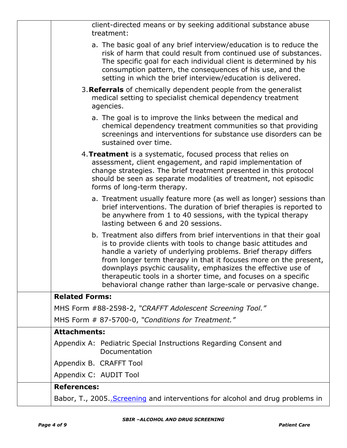| client-directed means or by seeking additional substance abuse<br>treatment:                                                                                                                                                                                                                                                                                                                                                                                                      |
|-----------------------------------------------------------------------------------------------------------------------------------------------------------------------------------------------------------------------------------------------------------------------------------------------------------------------------------------------------------------------------------------------------------------------------------------------------------------------------------|
| a. The basic goal of any brief interview/education is to reduce the<br>risk of harm that could result from continued use of substances.<br>The specific goal for each individual client is determined by his<br>consumption pattern, the consequences of his use, and the<br>setting in which the brief interview/education is delivered.                                                                                                                                         |
| 3. Referrals of chemically dependent people from the generalist<br>medical setting to specialist chemical dependency treatment<br>agencies.                                                                                                                                                                                                                                                                                                                                       |
| a. The goal is to improve the links between the medical and<br>chemical dependency treatment communities so that providing<br>screenings and interventions for substance use disorders can be<br>sustained over time.                                                                                                                                                                                                                                                             |
| 4. Treatment is a systematic, focused process that relies on<br>assessment, client engagement, and rapid implementation of<br>change strategies. The brief treatment presented in this protocol<br>should be seen as separate modalities of treatment, not episodic<br>forms of long-term therapy.                                                                                                                                                                                |
| a. Treatment usually feature more (as well as longer) sessions than<br>brief interventions. The duration of brief therapies is reported to<br>be anywhere from 1 to 40 sessions, with the typical therapy<br>lasting between 6 and 20 sessions.                                                                                                                                                                                                                                   |
| b. Treatment also differs from brief interventions in that their goal<br>is to provide clients with tools to change basic attitudes and<br>handle a variety of underlying problems. Brief therapy differs<br>from longer term therapy in that it focuses more on the present,<br>downplays psychic causality, emphasizes the effective use of<br>therapeutic tools in a shorter time, and focuses on a specific<br>behavioral change rather than large-scale or pervasive change. |
| <b>Related Forms:</b>                                                                                                                                                                                                                                                                                                                                                                                                                                                             |
| MHS Form #88-2598-2, "CRAFFT Adolescent Screening Tool."                                                                                                                                                                                                                                                                                                                                                                                                                          |
| MHS Form # 87-5700-0, "Conditions for Treatment."                                                                                                                                                                                                                                                                                                                                                                                                                                 |
| <b>Attachments:</b>                                                                                                                                                                                                                                                                                                                                                                                                                                                               |
| Appendix A: Pediatric Special Instructions Regarding Consent and<br>Documentation                                                                                                                                                                                                                                                                                                                                                                                                 |
| Appendix B. CRAFFT Tool                                                                                                                                                                                                                                                                                                                                                                                                                                                           |
| Appendix C: AUDIT Tool                                                                                                                                                                                                                                                                                                                                                                                                                                                            |
| <b>References:</b>                                                                                                                                                                                                                                                                                                                                                                                                                                                                |
| Babor, T., 2005. Screening and interventions for alcohol and drug problems in                                                                                                                                                                                                                                                                                                                                                                                                     |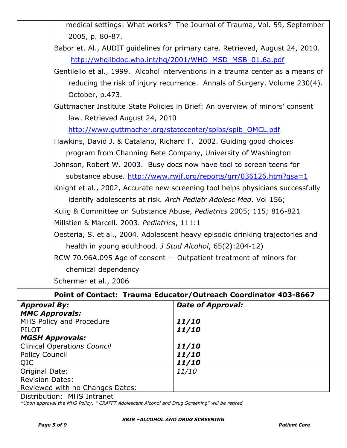|                                                          | medical settings: What works? The Journal of Trauma, Vol. 59, September         |
|----------------------------------------------------------|---------------------------------------------------------------------------------|
| 2005, p. 80-87.                                          |                                                                                 |
|                                                          | Babor et. Al., AUDIT guidelines for primary care. Retrieved, August 24, 2010.   |
|                                                          | http://whqlibdoc.who.int/hq/2001/WHO_MSD_MSB_01.6a.pdf                          |
|                                                          | Gentilello et al., 1999. Alcohol interventions in a trauma center as a means of |
|                                                          | reducing the risk of injury recurrence. Annals of Surgery. Volume 230(4).       |
| October, p.473.                                          |                                                                                 |
|                                                          | Guttmacher Institute State Policies in Brief: An overview of minors' consent    |
| law. Retrieved August 24, 2010                           |                                                                                 |
|                                                          | http://www.guttmacher.org/statecenter/spibs/spib_OMCL.pdf                       |
|                                                          | Hawkins, David J. & Catalano, Richard F. 2002. Guiding good choices             |
|                                                          | program from Channing Bete Company, University of Washington                    |
|                                                          | Johnson, Robert W. 2003. Busy docs now have tool to screen teens for            |
|                                                          | substance abuse. http://www.rwjf.org/reports/grr/036126.htm?gsa=1               |
|                                                          | Knight et al., 2002, Accurate new screening tool helps physicians successfully  |
|                                                          | identify adolescents at risk. Arch Pediatr Adolesc Med. Vol 156;                |
|                                                          | Kulig & Committee on Substance Abuse, Pediatrics 2005; 115; 816-821             |
| Millstien & Marcell. 2003. Pediatrics, 111:1             |                                                                                 |
|                                                          | Oesteria, S. et al., 2004. Adolescent heavy episodic drinking trajectories and  |
| health in young adulthood. J Stud Alcohol, 65(2):204-12) |                                                                                 |
|                                                          | RCW 70.96A.095 Age of consent - Outpatient treatment of minors for              |
| chemical dependency                                      |                                                                                 |
| Schermer et al., 2006                                    |                                                                                 |
|                                                          | Point of Contact: Trauma Educator/Outreach Coordinator 403-8667                 |
| <b>Approval By:</b>                                      | <b>Date of Approval:</b>                                                        |
| <b>MMC Approvals:</b><br>MHS Policy and Procedure        | <i><b>11/10</b></i>                                                             |
| <b>PILOT</b>                                             | <i><b>11/10</b></i>                                                             |
| <b>MGSH Approvals:</b>                                   |                                                                                 |
| <b>Clinical Operations Council</b>                       | <i><b>11/10</b></i>                                                             |

| Clinical Operations Council     | 11/10        |
|---------------------------------|--------------|
| <b>Policy Council</b>           | 11/10        |
| QIC                             | 11/10        |
| Original Date:                  | <i>11/10</i> |
| <b>Revision Dates:</b>          |              |
| Reviewed with no Changes Dates: |              |
|                                 |              |

Distribution: MHS Intranet

*\*Upon approval the MHS Policy: " CRAFFT Adolescent Alcohol and Drug Screening" will be retired*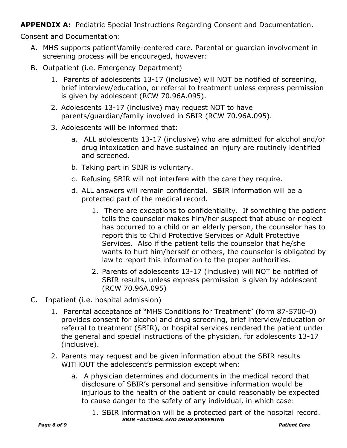**APPENDIX A:** Pediatric Special Instructions Regarding Consent and Documentation.

Consent and Documentation:

- A. MHS supports patient\family-centered care. Parental or guardian involvement in screening process will be encouraged, however:
- B. Outpatient (i.e. Emergency Department)
	- 1. Parents of adolescents 13-17 (inclusive) will NOT be notified of screening, brief interview/education, or referral to treatment unless express permission is given by adolescent (RCW 70.96A.095).
	- 2. Adolescents 13-17 (inclusive) may request NOT to have parents/guardian/family involved in SBIR (RCW 70.96A.095).
	- 3. Adolescents will be informed that:
		- a. ALL adolescents 13-17 (inclusive) who are admitted for alcohol and/or drug intoxication and have sustained an injury are routinely identified and screened.
		- b. Taking part in SBIR is voluntary.
		- c. Refusing SBIR will not interfere with the care they require.
		- d. ALL answers will remain confidential. SBIR information will be a protected part of the medical record.
			- 1. There are exceptions to confidentiality. If something the patient tells the counselor makes him/her suspect that abuse or neglect has occurred to a child or an elderly person, the counselor has to report this to Child Protective Services or Adult Protective Services. Also if the patient tells the counselor that he/she wants to hurt him/herself or others, the counselor is obligated by law to report this information to the proper authorities.
			- 2. Parents of adolescents 13-17 (inclusive) will NOT be notified of SBIR results, unless express permission is given by adolescent (RCW 70.96A.095)
- C. Inpatient (i.e. hospital admission)
	- 1. Parental acceptance of "MHS Conditions for Treatment" (form 87-5700-0) provides consent for alcohol and drug screening, brief interview/education or referral to treatment (SBIR), or hospital services rendered the patient under the general and special instructions of the physician, for adolescents 13-17 (inclusive).
	- 2. Parents may request and be given information about the SBIR results WITHOUT the adolescent's permission except when:
		- a. A physician determines and documents in the medical record that disclosure of SBIR's personal and sensitive information would be injurious to the health of the patient or could reasonably be expected to cause danger to the safety of any individual, in which case:
	- *SBIR –ALCOHOL AND DRUG SCREENING Page 6 of 9 Patient Care* 1. SBIR information will be a protected part of the hospital record.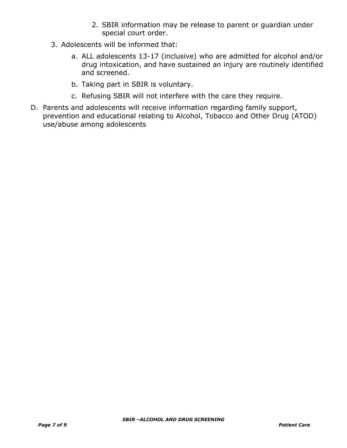- 2. SBIR information may be release to parent or guardian under special court order.
- 3. Adolescents will be informed that:
	- a. ALL adolescents 13-17 (inclusive) who are admitted for alcohol and/or drug intoxication, and have sustained an injury are routinely identified and screened.
	- b. Taking part in SBIR is voluntary.
	- c. Refusing SBIR will not interfere with the care they require.
- D. Parents and adolescents will receive information regarding family support, prevention and educational relating to Alcohol, Tobacco and Other Drug (ATOD) use/abuse among adolescents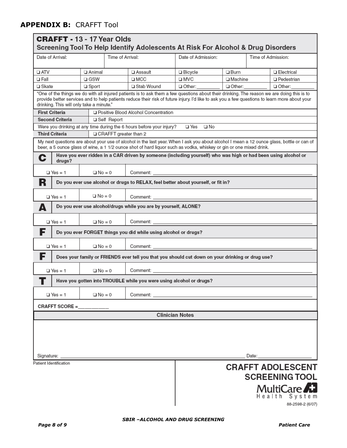### **APPENDIX B:** CRAFFT Tool

| Date of Arrival:                         |                 | Time of Arrival:        |                                                                                                                                                                                                                                                                                             | Date of Admission:     |                | Screening Tool To Help Identify Adolescents At Risk For Alcohol & Drug Disorders<br>Time of Admission: |                                                   |
|------------------------------------------|-----------------|-------------------------|---------------------------------------------------------------------------------------------------------------------------------------------------------------------------------------------------------------------------------------------------------------------------------------------|------------------------|----------------|--------------------------------------------------------------------------------------------------------|---------------------------------------------------|
|                                          |                 |                         |                                                                                                                                                                                                                                                                                             |                        |                |                                                                                                        |                                                   |
| $\Box$ ATV                               | □ Animal        |                         | □ Assault                                                                                                                                                                                                                                                                                   | $\square$ Bicycle      | $\Box$ Burn    |                                                                                                        | □ Electrical                                      |
| □ Fall                                   | $\Box$ GSW      |                         | $\square$ MCC                                                                                                                                                                                                                                                                               | $\square$ MVC          | $\Box$ Machine |                                                                                                        | $\Box$ Pedestrian                                 |
| □ Skate                                  | $\square$ Sport |                         | □ Stab Wound                                                                                                                                                                                                                                                                                | □ Other:               | Other:         |                                                                                                        | □ Other:                                          |
| drinking. This will only take a minute." |                 |                         | "One of the things we do with all injured patients is to ask them a few questions about their drinking. The reason we are doing this is to<br>provide better services and to help patients reduce their risk of future injury. I'd like to ask you a few questions to learn more about your |                        |                |                                                                                                        |                                                   |
| <b>First Criteria</b>                    |                 |                         | □ Positive Blood Alcohol Concentration                                                                                                                                                                                                                                                      |                        |                |                                                                                                        |                                                   |
| <b>Second Criteria</b>                   |                 | □ Self Report           |                                                                                                                                                                                                                                                                                             |                        |                |                                                                                                        |                                                   |
|                                          |                 |                         | Were you drinking at any time during the 6 hours before your injury?                                                                                                                                                                                                                        | <b>□Yes □No</b>        |                |                                                                                                        |                                                   |
| <b>Third Criteria</b>                    |                 | □ CRAFFT greater than 2 |                                                                                                                                                                                                                                                                                             |                        |                |                                                                                                        |                                                   |
|                                          |                 |                         | My next questions are about your use of alcohol in the last year. When I ask you about alcohol I mean a 12 ounce glass, bottle or can of<br>beer, a 5 ounce glass of wine, a 1 1/2 ounce shot of hard liquor such as vodka, whiskey or gin or one mixed drink.                              |                        |                |                                                                                                        |                                                   |
| C<br>drugs?                              |                 |                         | Have you ever ridden in a CAR driven by someone (including yourself) who was high or had been using alcohol or                                                                                                                                                                              |                        |                |                                                                                                        |                                                   |
| $\Box$ Yes = 1                           | $\Box$ No = 0   |                         |                                                                                                                                                                                                                                                                                             |                        |                |                                                                                                        |                                                   |
| R                                        |                 |                         | Do you ever use alcohol or drugs to RELAX, feel better about yourself, or fit in?                                                                                                                                                                                                           |                        |                |                                                                                                        |                                                   |
| $\Box$ Yes = 1                           | $\Box$ No = 0   |                         | Comment: <u>with the comments of the comments of the comments of the comments of the comments of the comments of the comments of the comments of the comments of the comments of the comments of the comments of the comments of</u>                                                        |                        |                |                                                                                                        |                                                   |
| Δ                                        |                 |                         | Do you ever use alcohol/drugs while you are by yourself, ALONE?                                                                                                                                                                                                                             |                        |                |                                                                                                        |                                                   |
| $\Box$ Yes = 1                           | $\Box$ No = 0   |                         |                                                                                                                                                                                                                                                                                             |                        |                |                                                                                                        |                                                   |
| F                                        |                 |                         | Do you ever FORGET things you did while using alcohol or drugs?                                                                                                                                                                                                                             |                        |                |                                                                                                        |                                                   |
| $\Box$ Yes = 1                           | $\Box$ No = 0   |                         | Comment: the comment of the comment of the comment of the comment of the comment of the comment of the comment of the comment of the comment of the comment of the comment of the comment of the comment of the comment of the                                                              |                        |                |                                                                                                        |                                                   |
| F                                        |                 |                         | Does your family or FRIENDS ever tell you that you should cut down on your drinking or drug use?                                                                                                                                                                                            |                        |                |                                                                                                        |                                                   |
| $\Box$ Yes = 1                           | $\Box$ No = 0   |                         |                                                                                                                                                                                                                                                                                             |                        |                |                                                                                                        |                                                   |
|                                          |                 |                         | Have you gotten into TROUBLE while you were using alcohol or drugs?                                                                                                                                                                                                                         |                        |                |                                                                                                        |                                                   |
| $\Box$ Yes = 1                           | $\Box$ No = 0   |                         |                                                                                                                                                                                                                                                                                             |                        |                |                                                                                                        |                                                   |
| CRAFFT SCORE =________                   |                 |                         |                                                                                                                                                                                                                                                                                             |                        |                |                                                                                                        |                                                   |
|                                          |                 |                         |                                                                                                                                                                                                                                                                                             | <b>Clinician Notes</b> |                |                                                                                                        |                                                   |
|                                          |                 |                         |                                                                                                                                                                                                                                                                                             |                        |                |                                                                                                        |                                                   |
|                                          |                 |                         |                                                                                                                                                                                                                                                                                             |                        |                |                                                                                                        |                                                   |
| Patient Identification                   |                 |                         |                                                                                                                                                                                                                                                                                             |                        |                |                                                                                                        | <b>CRAFFT ADOLESCENT</b><br><b>SCREENING TOOL</b> |
|                                          |                 |                         |                                                                                                                                                                                                                                                                                             |                        |                |                                                                                                        | MultiCare<br>Health System                        |
|                                          |                 |                         |                                                                                                                                                                                                                                                                                             |                        |                |                                                                                                        | 88-2598-2 (6/07)                                  |

88-2598-2 (6/07)